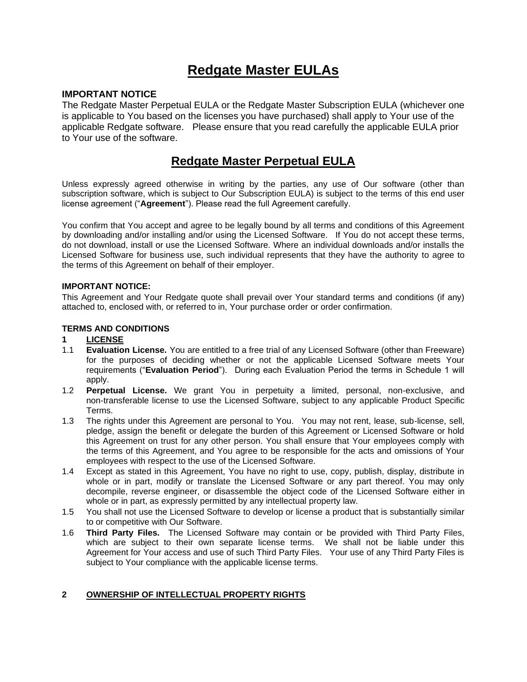## **Redgate Master EULAs**

## **IMPORTANT NOTICE**

The Redgate Master Perpetual EULA or the Redgate Master Subscription EULA (whichever one is applicable to You based on the licenses you have purchased) shall apply to Your use of the applicable Redgate software. Please ensure that you read carefully the applicable EULA prior to Your use of the software.

## **Redgate Master Perpetual EULA**

Unless expressly agreed otherwise in writing by the parties, any use of Our software (other than subscription software, which is subject to Our Subscription EULA) is subject to the terms of this end user license agreement ("**Agreement**"). Please read the full Agreement carefully.

You confirm that You accept and agree to be legally bound by all terms and conditions of this Agreement by downloading and/or installing and/or using the Licensed Software. If You do not accept these terms, do not download, install or use the Licensed Software. Where an individual downloads and/or installs the Licensed Software for business use, such individual represents that they have the authority to agree to the terms of this Agreement on behalf of their employer.

#### **IMPORTANT NOTICE:**

This Agreement and Your Redgate quote shall prevail over Your standard terms and conditions (if any) attached to, enclosed with, or referred to in, Your purchase order or order confirmation.

#### **TERMS AND CONDITIONS**

#### **1 LICENSE**

- 1.1 **Evaluation License.** You are entitled to a free trial of any Licensed Software (other than Freeware) for the purposes of deciding whether or not the applicable Licensed Software meets Your requirements ("**Evaluation Period**"). During each Evaluation Period the terms in Schedule 1 will apply.
- 1.2 **Perpetual License.** We grant You in perpetuity a limited, personal, non-exclusive, and non-transferable license to use the Licensed Software, subject to any applicable Product Specific Terms.
- 1.3 The rights under this Agreement are personal to You. You may not rent, lease, sub-license, sell, pledge, assign the benefit or delegate the burden of this Agreement or Licensed Software or hold this Agreement on trust for any other person. You shall ensure that Your employees comply with the terms of this Agreement, and You agree to be responsible for the acts and omissions of Your employees with respect to the use of the Licensed Software.
- 1.4 Except as stated in this Agreement, You have no right to use, copy, publish, display, distribute in whole or in part, modify or translate the Licensed Software or any part thereof. You may only decompile, reverse engineer, or disassemble the object code of the Licensed Software either in whole or in part, as expressly permitted by any intellectual property law.
- 1.5 You shall not use the Licensed Software to develop or license a product that is substantially similar to or competitive with Our Software.
- 1.6 **Third Party Files.** The Licensed Software may contain or be provided with Third Party Files, which are subject to their own separate license terms. We shall not be liable under this Agreement for Your access and use of such Third Party Files. Your use of any Third Party Files is subject to Your compliance with the applicable license terms.

## **2 OWNERSHIP OF INTELLECTUAL PROPERTY RIGHTS**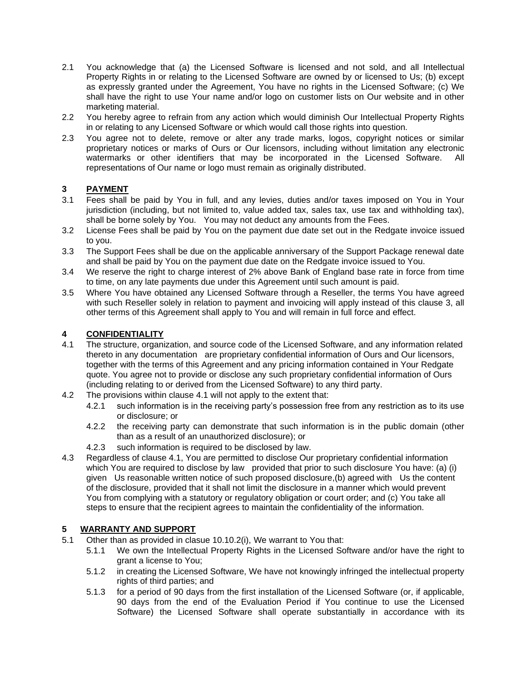- 2.1 You acknowledge that (a) the Licensed Software is licensed and not sold, and all Intellectual Property Rights in or relating to the Licensed Software are owned by or licensed to Us; (b) except as expressly granted under the Agreement, You have no rights in the Licensed Software; (c) We shall have the right to use Your name and/or logo on customer lists on Our website and in other marketing material.
- 2.2 You hereby agree to refrain from any action which would diminish Our Intellectual Property Rights in or relating to any Licensed Software or which would call those rights into question.
- 2.3 You agree not to delete, remove or alter any trade marks, logos, copyright notices or similar proprietary notices or marks of Ours or Our licensors, including without limitation any electronic watermarks or other identifiers that may be incorporated in the Licensed Software. All representations of Our name or logo must remain as originally distributed.

## **3 PAYMENT**

- 3.1 Fees shall be paid by You in full, and any levies, duties and/or taxes imposed on You in Your jurisdiction (including, but not limited to, value added tax, sales tax, use tax and withholding tax), shall be borne solely by You. You may not deduct any amounts from the Fees.
- 3.2 License Fees shall be paid by You on the payment due date set out in the Redgate invoice issued to you.
- 3.3 The Support Fees shall be due on the applicable anniversary of the Support Package renewal date and shall be paid by You on the payment due date on the Redgate invoice issued to You.
- 3.4 We reserve the right to charge interest of 2% above Bank of England base rate in force from time to time, on any late payments due under this Agreement until such amount is paid.
- 3.5 Where You have obtained any Licensed Software through a Reseller, the terms You have agreed with such Reseller solely in relation to payment and invoicing will apply instead of this clause 3, all other terms of this Agreement shall apply to You and will remain in full force and effect.

## **4 CONFIDENTIALITY**

- 4.1 The structure, organization, and source code of the Licensed Software, and any information related thereto in any documentation are proprietary confidential information of Ours and Our licensors, together with the terms of this Agreement and any pricing information contained in Your Redgate quote. You agree not to provide or disclose any such proprietary confidential information of Ours (including relating to or derived from the Licensed Software) to any third party.
- 4.2 The provisions within clause 4.1 will not apply to the extent that:
	- 4.2.1 such information is in the receiving party's possession free from any restriction as to its use or disclosure; or
	- 4.2.2 the receiving party can demonstrate that such information is in the public domain (other than as a result of an unauthorized disclosure); or
	- 4.2.3 such information is required to be disclosed by law.
- 4.3 Regardless of clause 4.1, You are permitted to disclose Our proprietary confidential information which You are required to disclose by law provided that prior to such disclosure You have: (a) (i) given Us reasonable written notice of such proposed disclosure,(b) agreed with Us the content of the disclosure, provided that it shall not limit the disclosure in a manner which would prevent You from complying with a statutory or regulatory obligation or court order; and (c) You take all steps to ensure that the recipient agrees to maintain the confidentiality of the information.

## **5 WARRANTY AND SUPPORT**

- 5.1 Other than as provided in clasue 10.10.2(i), We warrant to You that:
	- 5.1.1 We own the Intellectual Property Rights in the Licensed Software and/or have the right to grant a license to You;
	- 5.1.2 in creating the Licensed Software, We have not knowingly infringed the intellectual property rights of third parties; and
	- 5.1.3 for a period of 90 days from the first installation of the Licensed Software (or, if applicable, 90 days from the end of the Evaluation Period if You continue to use the Licensed Software) the Licensed Software shall operate substantially in accordance with its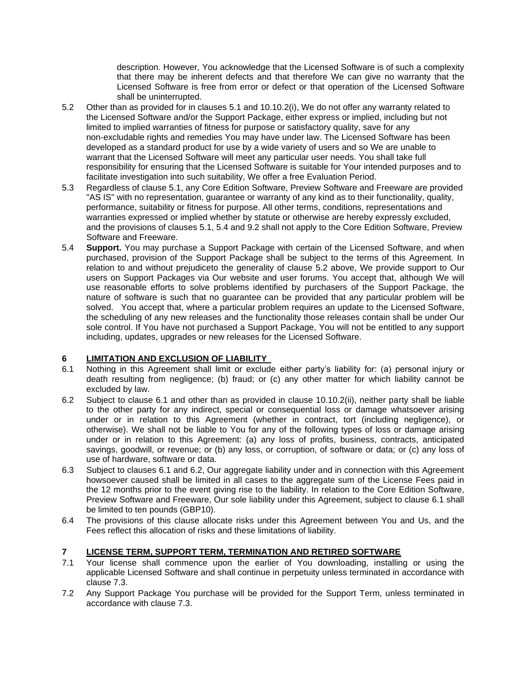description. However, You acknowledge that the Licensed Software is of such a complexity that there may be inherent defects and that therefore We can give no warranty that the Licensed Software is free from error or defect or that operation of the Licensed Software shall be uninterrupted.

- 5.2 Other than as provided for in clauses 5.1 and 10.10.2(i), We do not offer any warranty related to the Licensed Software and/or the Support Package, either express or implied, including but not limited to implied warranties of fitness for purpose or satisfactory quality, save for any non-excludable rights and remedies You may have under law. The Licensed Software has been developed as a standard product for use by a wide variety of users and so We are unable to warrant that the Licensed Software will meet any particular user needs. You shall take full responsibility for ensuring that the Licensed Software is suitable for Your intended purposes and to facilitate investigation into such suitability, We offer a free Evaluation Period.
- 5.3 Regardless of clause 5.1, any Core Edition Software, Preview Software and Freeware are provided "AS IS" with no representation, guarantee or warranty of any kind as to their functionality, quality, performance, suitability or fitness for purpose. All other terms, conditions, representations and warranties expressed or implied whether by statute or otherwise are hereby expressly excluded, and the provisions of clauses 5.1, 5.4 and 9.2 shall not apply to the Core Edition Software, Preview Software and Freeware.
- 5.4 **Support.** You may purchase a Support Package with certain of the Licensed Software, and when purchased, provision of the Support Package shall be subject to the terms of this Agreement. In relation to and without prejudiceto the generality of clause 5.2 above, We provide support to Our users on Support Packages via Our website and user forums. You accept that, although We will use reasonable efforts to solve problems identified by purchasers of the Support Package, the nature of software is such that no guarantee can be provided that any particular problem will be solved. You accept that, where a particular problem requires an update to the Licensed Software, the scheduling of any new releases and the functionality those releases contain shall be under Our sole control. If You have not purchased a Support Package, You will not be entitled to any support including, updates, upgrades or new releases for the Licensed Software.

## **6 LIMITATION AND EXCLUSION OF LIABILITY**

- 6.1 Nothing in this Agreement shall limit or exclude either party's liability for: (a) personal injury or death resulting from negligence; (b) fraud; or (c) any other matter for which liability cannot be excluded by law.
- 6.2 Subject to clause 6.1 and other than as provided in clause 10.10.2(ii), neither party shall be liable to the other party for any indirect, special or consequential loss or damage whatsoever arising under or in relation to this Agreement (whether in contract, tort (including negligence), or otherwise). We shall not be liable to You for any of the following types of loss or damage arising under or in relation to this Agreement: (a) any loss of profits, business, contracts, anticipated savings, goodwill, or revenue; or (b) any loss, or corruption, of software or data; or (c) any loss of use of hardware, software or data.
- 6.3 Subject to clauses 6.1 and 6.2, Our aggregate liability under and in connection with this Agreement howsoever caused shall be limited in all cases to the aggregate sum of the License Fees paid in the 12 months prior to the event giving rise to the liability. In relation to the Core Edition Software, Preview Software and Freeware, Our sole liability under this Agreement, subject to clause 6.1 shall be limited to ten pounds (GBP10).
- 6.4 The provisions of this clause allocate risks under this Agreement between You and Us, and the Fees reflect this allocation of risks and these limitations of liability.

## **7 LICENSE TERM, SUPPORT TERM, TERMINATION AND RETIRED SOFTWARE**

- 7.1 Your license shall commence upon the earlier of You downloading, installing or using the applicable Licensed Software and shall continue in perpetuity unless terminated in accordance with clause 7.3.
- 7.2 Any Support Package You purchase will be provided for the Support Term, unless terminated in accordance with clause 7.3.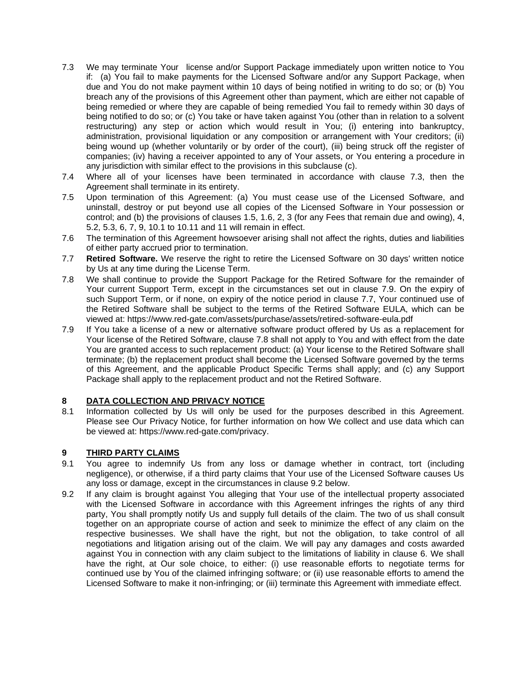- 7.3 We may terminate Your license and/or Support Package immediately upon written notice to You if: (a) You fail to make payments for the Licensed Software and/or any Support Package, when due and You do not make payment within 10 days of being notified in writing to do so; or (b) You breach any of the provisions of this Agreement other than payment, which are either not capable of being remedied or where they are capable of being remedied You fail to remedy within 30 days of being notified to do so; or (c) You take or have taken against You (other than in relation to a solvent restructuring) any step or action which would result in You; (i) entering into bankruptcy, administration, provisional liquidation or any composition or arrangement with Your creditors; (ii) being wound up (whether voluntarily or by order of the court), (iii) being struck off the register of companies; (iv) having a receiver appointed to any of Your assets, or You entering a procedure in any jurisdiction with similar effect to the provisions in this subclause (c).
- 7.4 Where all of your licenses have been terminated in accordance with clause 7.3, then the Agreement shall terminate in its entirety.
- 7.5 Upon termination of this Agreement: (a) You must cease use of the Licensed Software, and uninstall, destroy or put beyond use all copies of the Licensed Software in Your possession or control; and (b) the provisions of clauses 1.5, 1.6, 2, 3 (for any Fees that remain due and owing), 4, 5.2, 5.3, 6, 7, 9, 10.1 to 10.11 and 11 will remain in effect.
- 7.6 The termination of this Agreement howsoever arising shall not affect the rights, duties and liabilities of either party accrued prior to termination.
- 7.7 **Retired Software.** We reserve the right to retire the Licensed Software on 30 days' written notice by Us at any time during the License Term.
- 7.8 We shall continue to provide the Support Package for the Retired Software for the remainder of Your current Support Term, except in the circumstances set out in clause 7.9. On the expiry of such Support Term, or if none, on expiry of the notice period in clause 7.7, Your continued use of the Retired Software shall be subject to the terms of the Retired Software EULA, which can be viewed at:<https://www.red-gate.com/assets/purchase/assets/retired-software-eula.pdf>
- 7.9 If You take a license of a new or alternative software product offered by Us as a replacement for Your license of the Retired Software, clause 7.8 shall not apply to You and with effect from the date You are granted access to such replacement product: (a) Your license to the Retired Software shall terminate; (b) the replacement product shall become the Licensed Software governed by the terms of this Agreement, and the applicable Product Specific Terms shall apply; and (c) any Support Package shall apply to the replacement product and not the Retired Software.

## **8 DATA COLLECTION AND PRIVACY NOTICE**

8.1 Information collected by Us will only be used for the purposes described in this Agreement. Please see Our Privacy Notice, for further information on how We collect and use data which can be viewed at: [https://www.red-gate.com/privacy.](https://www.red-gate.com/privacy)

## **9 THIRD PARTY CLAIMS**

- 9.1 You agree to indemnify Us from any loss or damage whether in contract, tort (including negligence), or otherwise, if a third party claims that Your use of the Licensed Software causes Us any loss or damage, except in the circumstances in clause 9.2 below.
- 9.2 If any claim is brought against You alleging that Your use of the intellectual property associated with the Licensed Software in accordance with this Agreement infringes the rights of any third party, You shall promptly notify Us and supply full details of the claim. The two of us shall consult together on an appropriate course of action and seek to minimize the effect of any claim on the respective businesses. We shall have the right, but not the obligation, to take control of all negotiations and litigation arising out of the claim. We will pay any damages and costs awarded against You in connection with any claim subject to the limitations of liability in clause 6. We shall have the right, at Our sole choice, to either: (i) use reasonable efforts to negotiate terms for continued use by You of the claimed infringing software; or (ii) use reasonable efforts to amend the Licensed Software to make it non-infringing; or (iii) terminate this Agreement with immediate effect.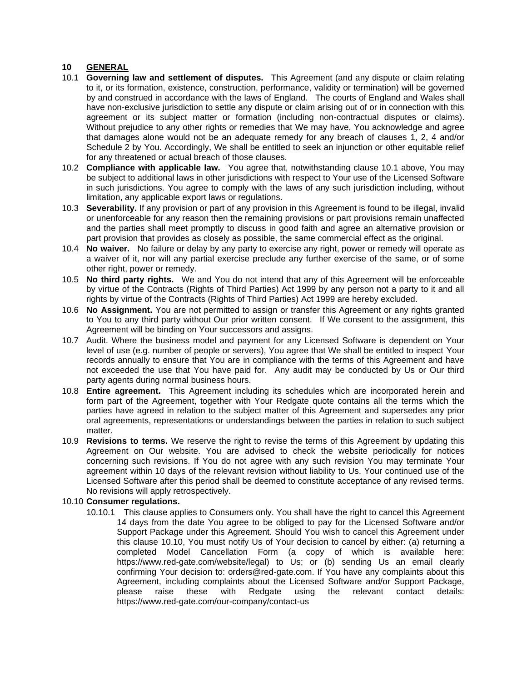#### **10 GENERAL**

- 10.1 **Governing law and settlement of disputes.** This Agreement (and any dispute or claim relating to it, or its formation, existence, construction, performance, validity or termination) will be governed by and construed in accordance with the laws of England. The courts of England and Wales shall have non-exclusive jurisdiction to settle any dispute or claim arising out of or in connection with this agreement or its subject matter or formation (including non-contractual disputes or claims). Without prejudice to any other rights or remedies that We may have, You acknowledge and agree that damages alone would not be an adequate remedy for any breach of clauses 1, 2, 4 and/or Schedule 2 by You. Accordingly, We shall be entitled to seek an injunction or other equitable relief for any threatened or actual breach of those clauses.
- 10.2 **Compliance with applicable law.** You agree that, notwithstanding clause 10.1 above, You may be subject to additional laws in other jurisdictions with respect to Your use of the Licensed Software in such jurisdictions. You agree to comply with the laws of any such jurisdiction including, without limitation, any applicable export laws or regulations.
- 10.3 **Severability.** If any provision or part of any provision in this Agreement is found to be illegal, invalid or unenforceable for any reason then the remaining provisions or part provisions remain unaffected and the parties shall meet promptly to discuss in good faith and agree an alternative provision or part provision that provides as closely as possible, the same commercial effect as the original.
- 10.4 **No waiver.** No failure or delay by any party to exercise any right, power or remedy will operate as a waiver of it, nor will any partial exercise preclude any further exercise of the same, or of some other right, power or remedy.
- 10.5 **No third party rights.** We and You do not intend that any of this Agreement will be enforceable by virtue of the Contracts (Rights of Third Parties) Act 1999 by any person not a party to it and all rights by virtue of the Contracts (Rights of Third Parties) Act 1999 are hereby excluded.
- 10.6 **No Assignment.** You are not permitted to assign or transfer this Agreement or any rights granted to You to any third party without Our prior written consent. If We consent to the assignment, this Agreement will be binding on Your successors and assigns.
- 10.7 Audit. Where the business model and payment for any Licensed Software is dependent on Your level of use (e.g. number of people or servers), You agree that We shall be entitled to inspect Your records annually to ensure that You are in compliance with the terms of this Agreement and have not exceeded the use that You have paid for. Any audit may be conducted by Us or Our third party agents during normal business hours.
- 10.8 **Entire agreement.** This Agreement including its schedules which are incorporated herein and form part of the Agreement, together with Your Redgate quote contains all the terms which the parties have agreed in relation to the subject matter of this Agreement and supersedes any prior oral agreements, representations or understandings between the parties in relation to such subject matter.
- 10.9 **Revisions to terms.** We reserve the right to revise the terms of this Agreement by updating this Agreement on Our website. You are advised to check the website periodically for notices concerning such revisions. If You do not agree with any such revision You may terminate Your agreement within 10 days of the relevant revision without liability to Us. Your continued use of the Licensed Software after this period shall be deemed to constitute acceptance of any revised terms. No revisions will apply retrospectively.

#### 10.10 **Consumer regulations.**

10.10.1 This clause applies to Consumers only. You shall have the right to cancel this Agreement 14 days from the date You agree to be obliged to pay for the Licensed Software and/or Support Package under this Agreement. Should You wish to cancel this Agreement under this clause 10.10, You must notify Us of Your decision to cancel by either: (a) returning a completed Model Cancellation Form (a copy of which is available here: [https://www.red-gate.com/website/legal\)](https://www.red-gate.com/website/legal) to Us; or (b) sending Us an email clearly confirming Your decision to: orders@red-gate.com. If You have any complaints about this Agreement, including complaints about the Licensed Software and/or Support Package, please raise these with Redgate using the relevant contact details: <https://www.red-gate.com/our-company/contact-us>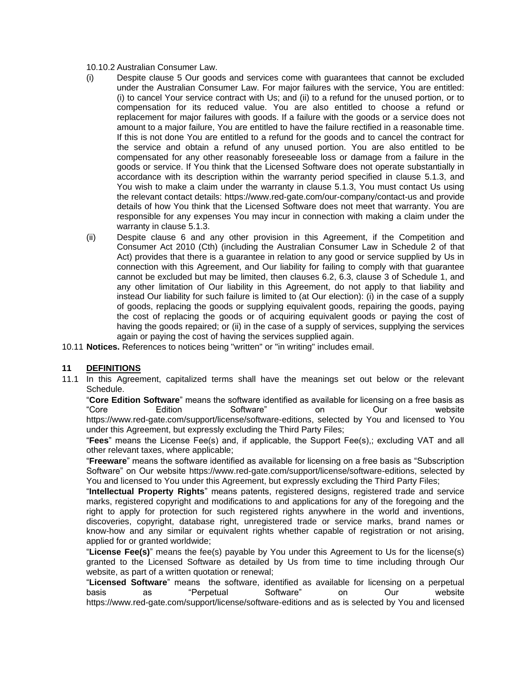- 10.10.2 Australian Consumer Law.
- (i) Despite clause 5 Our goods and services come with guarantees that cannot be excluded under the Australian Consumer Law. For major failures with the service, You are entitled: (i) to cancel Your service contract with Us; and (ii) to a refund for the unused portion, or to compensation for its reduced value. You are also entitled to choose a refund or replacement for major failures with goods. If a failure with the goods or a service does not amount to a major failure, You are entitled to have the failure rectified in a reasonable time. If this is not done You are entitled to a refund for the goods and to cancel the contract for the service and obtain a refund of any unused portion. You are also entitled to be compensated for any other reasonably foreseeable loss or damage from a failure in the goods or service. If You think that the Licensed Software does not operate substantially in accordance with its description within the warranty period specified in clause 5.1.3, and You wish to make a claim under the warranty in clause 5.1.3, You must contact Us using the relevant contact details:<https://www.red-gate.com/our-company/contact-us> and provide details of how You think that the Licensed Software does not meet that warranty. You are responsible for any expenses You may incur in connection with making a claim under the warranty in clause 5.1.3.
- (ii) Despite clause 6 and any other provision in this Agreement, if the Competition and Consumer Act 2010 (Cth) (including the Australian Consumer Law in Schedule 2 of that Act) provides that there is a guarantee in relation to any good or service supplied by Us in connection with this Agreement, and Our liability for failing to comply with that guarantee cannot be excluded but may be limited, then clauses 6.2, 6.3, clause 3 of Schedule 1, and any other limitation of Our liability in this Agreement, do not apply to that liability and instead Our liability for such failure is limited to (at Our election): (i) in the case of a supply of goods, replacing the goods or supplying equivalent goods, repairing the goods, paying the cost of replacing the goods or of acquiring equivalent goods or paying the cost of having the goods repaired; or (ii) in the case of a supply of services, supplying the services again or paying the cost of having the services supplied again.
- 10.11 **Notices.** References to notices being "written" or "in writing" includes email.

## **11 DEFINITIONS**

11.1 In this Agreement, capitalized terms shall have the meanings set out below or the relevant Schedule.

"**Core Edition Software**" means the software identified as available for licensing on a free basis as "Core Edition Software" on Our website [https://www.red-gate.com/support/license/software-editions,](https://www.red-gate.com/support/license/software-editions) selected by You and licensed to You under this Agreement, but expressly excluding the Third Party Files;

"**Fees**" means the License Fee(s) and, if applicable, the Support Fee(s),; excluding VAT and all other relevant taxes, where applicable;

"**Freeware**" means the software identified as available for licensing on a free basis as "Subscription Software" on Our website [https://www.red-gate.com/support/license/software-editions,](https://www.red-gate.com/support/license/software-editions) selected by You and licensed to You under this Agreement, but expressly excluding the Third Party Files;

"**Intellectual Property Rights**" means patents, registered designs, registered trade and service marks, registered copyright and modifications to and applications for any of the foregoing and the right to apply for protection for such registered rights anywhere in the world and inventions, discoveries, copyright, database right, unregistered trade or service marks, brand names or know-how and any similar or equivalent rights whether capable of registration or not arising, applied for or granted worldwide;

"**License Fee(s)**" means the fee(s) payable by You under this Agreement to Us for the license(s) granted to the Licensed Software as detailed by Us from time to time including through Our website, as part of a written quotation or renewal;

"**Licensed Software**" means the software, identified as available for licensing on a perpetual basis as "Perpetual Software" on Our website <https://www.red-gate.com/support/license/software-editions> and as is selected by You and licensed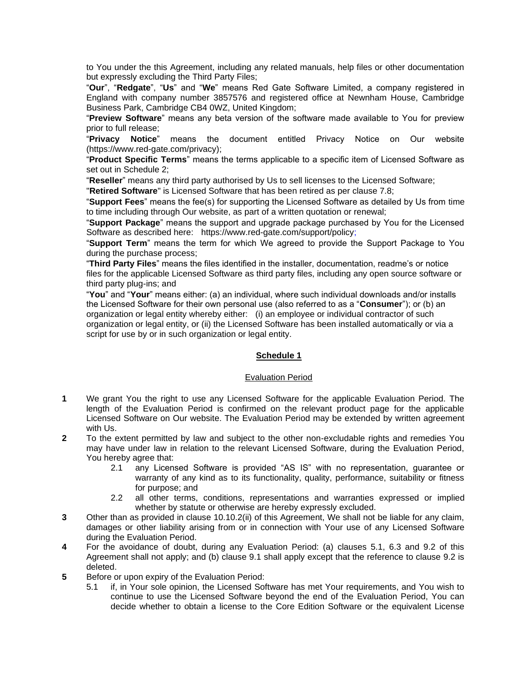to You under the this Agreement, including any related manuals, help files or other documentation but expressly excluding the Third Party Files;

"**Our**", "**Redgate**", "**Us**" and "**We**" means Red Gate Software Limited, a company registered in England with company number 3857576 and registered office at Newnham House, Cambridge Business Park, Cambridge CB4 0WZ, United Kingdom;

"**Preview Software**" means any beta version of the software made available to You for preview prior to full release;

"**Privacy Notice**" means the document entitled Privacy Notice on Our website [\(https://www.red-gate.com/privacy\)](https://www.red-gate.com/privacy);

"**Product Specific Terms**" means the terms applicable to a specific item of Licensed Software as set out in Schedule 2;

"**Reseller**" means any third party authorised by Us to sell licenses to the Licensed Software;

"**Retired Software**" is Licensed Software that has been retired as per clause 7.8;

"**Support Fees**" means the fee(s) for supporting the Licensed Software as detailed by Us from time to time including through Our website, as part of a written quotation or renewal;

"**Support Package**" means the support and upgrade package purchased by You for the Licensed Software as described here: [https://www.red-gate.com/support/policy;](https://www.red-gate.com/support/policy)

"**Support Term**" means the term for which We agreed to provide the Support Package to You during the purchase process;

"**Third Party Files**" means the files identified in the installer, documentation, readme's or notice files for the applicable Licensed Software as third party files, including any open source software or third party plug-ins; and

"**You**" and "**Your**" means either: (a) an individual, where such individual downloads and/or installs the Licensed Software for their own personal use (also referred to as a "**Consumer**"); or (b) an organization or legal entity whereby either: (i) an employee or individual contractor of such organization or legal entity, or (ii) the Licensed Software has been installed automatically or via a script for use by or in such organization or legal entity.

#### **Schedule 1**

#### Evaluation Period

- **1** We grant You the right to use any Licensed Software for the applicable Evaluation Period. The length of the Evaluation Period is confirmed on the relevant product page for the applicable Licensed Software on Our website. The Evaluation Period may be extended by written agreement with Us.
- **2** To the extent permitted by law and subject to the other non-excludable rights and remedies You may have under law in relation to the relevant Licensed Software, during the Evaluation Period, You hereby agree that:
	- 2.1 any Licensed Software is provided "AS IS" with no representation, guarantee or warranty of any kind as to its functionality, quality, performance, suitability or fitness for purpose; and
	- 2.2 all other terms, conditions, representations and warranties expressed or implied whether by statute or otherwise are hereby expressly excluded.
- **3** Other than as provided in clause 10.10.2(ii) of this Agreement, We shall not be liable for any claim, damages or other liability arising from or in connection with Your use of any Licensed Software during the Evaluation Period.
- **4** For the avoidance of doubt, during any Evaluation Period: (a) clauses 5.1, 6.3 and 9.2 of this Agreement shall not apply; and (b) clause 9.1 shall apply except that the reference to clause 9.2 is deleted.
- **5** Before or upon expiry of the Evaluation Period:
	- 5.1 if, in Your sole opinion, the Licensed Software has met Your requirements, and You wish to continue to use the Licensed Software beyond the end of the Evaluation Period, You can decide whether to obtain a license to the Core Edition Software or the equivalent License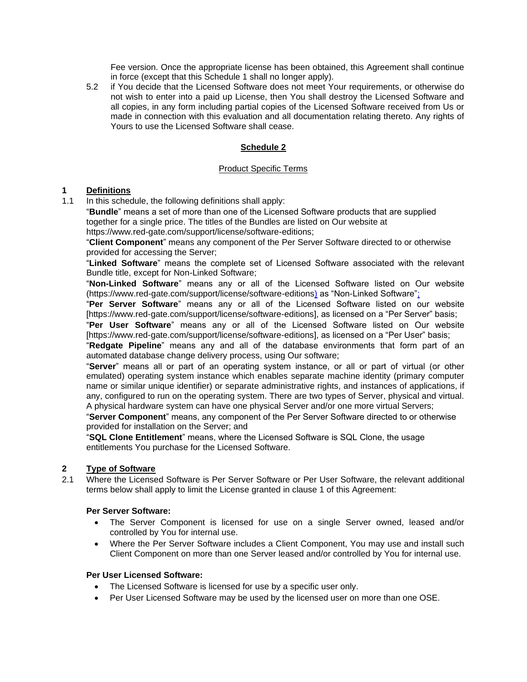Fee version. Once the appropriate license has been obtained, this Agreement shall continue in force (except that this Schedule 1 shall no longer apply).

5.2 if You decide that the Licensed Software does not meet Your requirements, or otherwise do not wish to enter into a paid up License, then You shall destroy the Licensed Software and all copies, in any form including partial copies of the Licensed Software received from Us or made in connection with this evaluation and all documentation relating thereto. Any rights of Yours to use the Licensed Software shall cease.

## **Schedule 2**

#### Product Specific Terms

#### **1 Definitions**

1.1 In this schedule, the following definitions shall apply:

"**Bundle**" means a set of more than one of the Licensed Software products that are supplied together for a single price. The titles of the Bundles are listed on Our website at [https://www.red-gate.com/support/license/software-editions;](https://www.red-gate.com/support/license/software-editions)

"**Client Component**" means any component of the Per Server Software directed to or otherwise provided for accessing the Server;

"**Linked Software**" means the complete set of Licensed Software associated with the relevant Bundle title, except for Non-Linked Software;

"**Non-Linked Software**" means any or all of the Licensed Software listed on Our website [\(https://www.red-gate.com/support/license/software-editions\)](https://www.red-gate.com/support/license/software-editions) as "Non-Linked Software";

"**Per Server Software**" means any or all of the Licensed Software listed on our website [\[https://www.red-gate.com/support/license/software-editions\]](https://www.red-gate.com/support/license/software-editions), as licensed on a "Per Server" basis;

"**Per User Software**" means any or all of the Licensed Software listed on Our website [\[https://www.red-gate.com/support/license/software-editions\]](https://www.red-gate.com/support/license/software-editions), as licensed on a "Per User" basis;

"**Redgate Pipeline**" means any and all of the database environments that form part of an automated database change delivery process, using Our software;

"**Server**" means all or part of an operating system instance, or all or part of virtual (or other emulated) operating system instance which enables separate machine identity (primary computer name or similar unique identifier) or separate administrative rights, and instances of applications, if any, configured to run on the operating system. There are two types of Server, physical and virtual. A physical hardware system can have one physical Server and/or one more virtual Servers;

"**Server Component**" means, any component of the Per Server Software directed to or otherwise provided for installation on the Server; and

"**SQL Clone Entitlement**" means, where the Licensed Software is SQL Clone, the usage entitlements You purchase for the Licensed Software.

## **2 Type of Software**

2.1 Where the Licensed Software is Per Server Software or Per User Software, the relevant additional terms below shall apply to limit the License granted in clause 1 of this Agreement:

#### **Per Server Software:**

- The Server Component is licensed for use on a single Server owned, leased and/or controlled by You for internal use.
- Where the Per Server Software includes a Client Component, You may use and install such Client Component on more than one Server leased and/or controlled by You for internal use.

#### **Per User Licensed Software:**

- The Licensed Software is licensed for use by a specific user only.
- Per User Licensed Software may be used by the licensed user on more than one OSE.